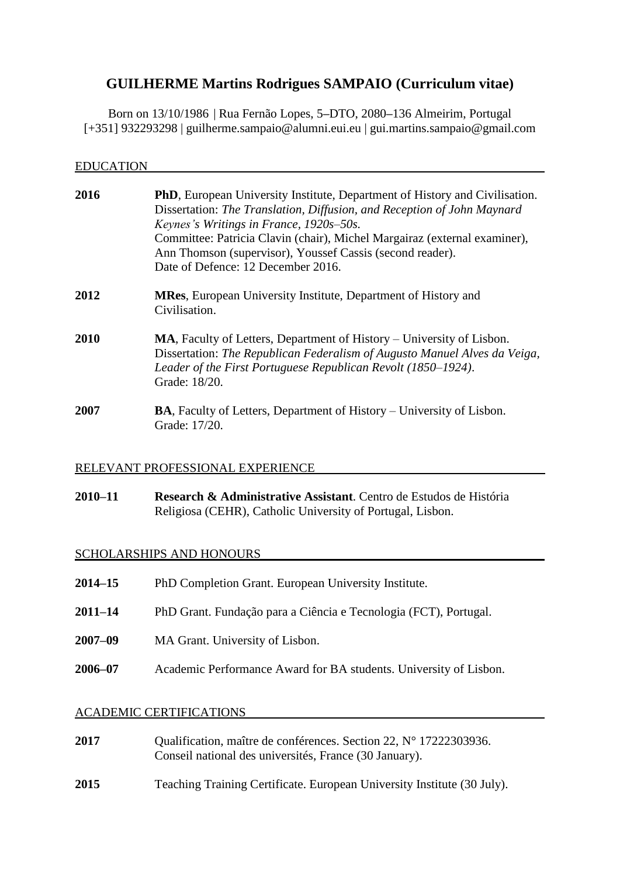# **GUILHERME Martins Rodrigues SAMPAIO (Curriculum vitae)**

Born on 13/10/1986 | Rua Fernão Lopes, 5**–**DTO, 2080**–**136 Almeirim, Portugal [+351] 932293298 | guilherme.sampaio@alumni.eui.eu | gui.martins.sampaio@gmail.com

| EDUCATION |                                                                                                                                                                                                                                                                                                                                                                                           |
|-----------|-------------------------------------------------------------------------------------------------------------------------------------------------------------------------------------------------------------------------------------------------------------------------------------------------------------------------------------------------------------------------------------------|
| 2016      | <b>PhD</b> , European University Institute, Department of History and Civilisation.<br>Dissertation: The Translation, Diffusion, and Reception of John Maynard<br>Keynes's Writings in France, 1920s-50s.<br>Committee: Patricia Clavin (chair), Michel Margairaz (external examiner),<br>Ann Thomson (supervisor), Youssef Cassis (second reader).<br>Date of Defence: 12 December 2016. |
| 2012      | <b>MRes, European University Institute, Department of History and</b><br>Civilisation.                                                                                                                                                                                                                                                                                                    |
| 2010      | <b>MA</b> , Faculty of Letters, Department of History – University of Lisbon.<br>Dissertation: The Republican Federalism of Augusto Manuel Alves da Veiga,<br>Leader of the First Portuguese Republican Revolt (1850–1924).<br>Grade: 18/20.                                                                                                                                              |
| 2007      | <b>BA</b> , Faculty of Letters, Department of History – University of Lisbon.<br>Grade: 17/20.                                                                                                                                                                                                                                                                                            |

## RELEVANT PROFESSIONAL EXPERIENCE

**2010–11 Research & Administrative Assistant**. Centro de Estudos de História Religiosa (CEHR), Catholic University of Portugal, Lisbon.

# SCHOLARSHIPS AND HONOURS

| 2014–15 | PhD Completion Grant. European University Institute.              |
|---------|-------------------------------------------------------------------|
| 2011–14 | PhD Grant. Fundação para a Ciência e Tecnologia (FCT), Portugal.  |
| 2007–09 | MA Grant. University of Lisbon.                                   |
| 2006–07 | Academic Performance Award for BA students. University of Lisbon. |
|         |                                                                   |

# ACADEMIC CERTIFICATIONS

| 2017 | Qualification, maître de conférences. Section 22, N° 17222303936.<br>Conseil national des universités, France (30 January). |
|------|-----------------------------------------------------------------------------------------------------------------------------|
| 2015 | Teaching Training Certificate. European University Institute (30 July).                                                     |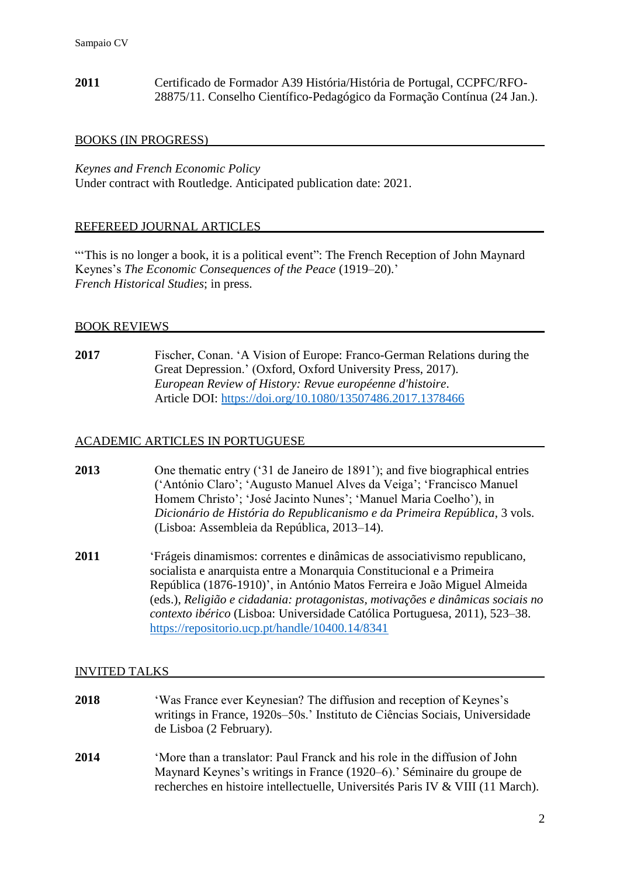**2011** Certificado de Formador A39 História/História de Portugal, CCPFC/RFO-28875/11. Conselho Científico-Pedagógico da Formação Contínua (24 Jan.).

#### BOOKS (IN PROGRESS)

*Keynes and French Economic Policy*

Under contract with Routledge. Anticipated publication date: 2021.

#### REFEREED JOURNAL ARTICLES

"This is no longer a book, it is a political event": The French Reception of John Maynard Keynes's *The Economic Consequences of the Peace* (1919–20).' *French Historical Studies*; in press.

#### BOOK REVIEWS

**2017** Fischer, Conan. 'A Vision of Europe: Franco-German Relations during the Great Depression.' (Oxford, Oxford University Press, 2017). *European Review of History: Revue européenne d'histoire*. Article DOI:<https://doi.org/10.1080/13507486.2017.1378466>

#### ACADEMIC ARTICLES IN PORTUGUESE

| 2013 | One thematic entry ('31 de Janeiro de 1891'); and five biographical entries |
|------|-----------------------------------------------------------------------------|
|      | ('António Claro'; 'Augusto Manuel Alves da Veiga'; 'Francisco Manuel'       |
|      | Homem Christo'; 'José Jacinto Nunes'; 'Manuel Maria Coelho'), in            |
|      | Dicionário de História do Republicanismo e da Primeira República, 3 vols.   |
|      | (Lisboa: Assembleia da República, 2013–14).                                 |

**2011** 'Frágeis dinamismos: correntes e dinâmicas de associativismo republicano, socialista e anarquista entre a Monarquia Constitucional e a Primeira República (1876-1910)', in António Matos Ferreira e João Miguel Almeida (eds.), *Religião e cidadania: protagonistas, motivações e dinâmicas sociais no contexto ibérico* (Lisboa: Universidade Católica Portuguesa, 2011), 523–38. <https://repositorio.ucp.pt/handle/10400.14/8341>

#### INVITED TALKS

- **2018** 'Was France ever Keynesian? The diffusion and reception of Keynes's writings in France, 1920s–50s.' Instituto de Ciências Sociais, Universidade de Lisboa (2 February).
- **2014** 'More than a translator: Paul Franck and his role in the diffusion of John Maynard Keynes's writings in France (1920–6).' Séminaire du groupe de recherches en histoire intellectuelle, Universités Paris IV & VIII (11 March).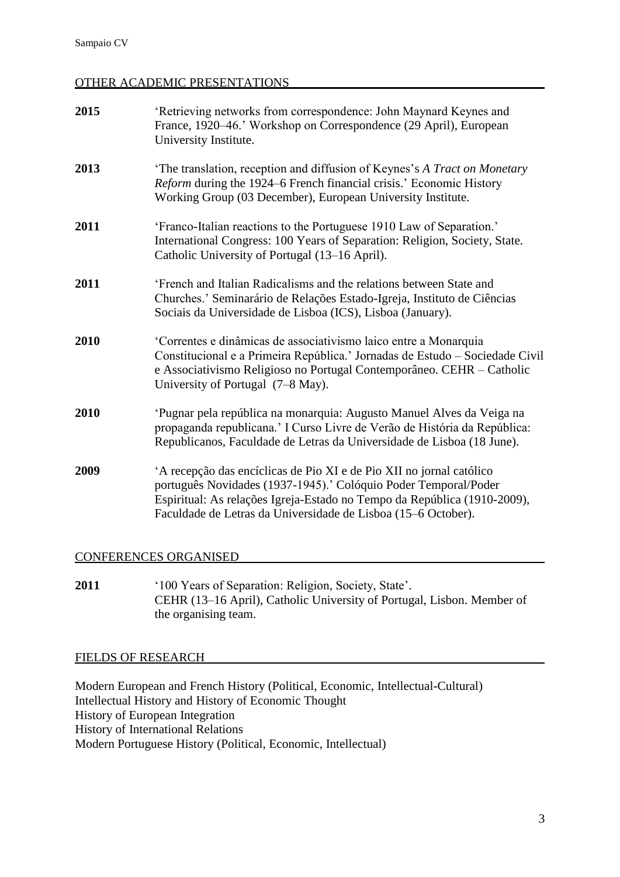# OTHER ACADEMIC PRESENTATIONS

| 2015 | 'Retrieving networks from correspondence: John Maynard Keynes and<br>France, 1920-46.' Workshop on Correspondence (29 April), European<br>University Institute.                                                                                                                     |
|------|-------------------------------------------------------------------------------------------------------------------------------------------------------------------------------------------------------------------------------------------------------------------------------------|
| 2013 | 'The translation, reception and diffusion of Keynes's A Tract on Monetary<br>Reform during the 1924–6 French financial crisis.' Economic History<br>Working Group (03 December), European University Institute.                                                                     |
| 2011 | 'Franco-Italian reactions to the Portuguese 1910 Law of Separation.'<br>International Congress: 100 Years of Separation: Religion, Society, State.<br>Catholic University of Portugal (13–16 April).                                                                                |
| 2011 | 'French and Italian Radicalisms and the relations between State and<br>Churches.' Seminarário de Relações Estado-Igreja, Instituto de Ciências<br>Sociais da Universidade de Lisboa (ICS), Lisboa (January).                                                                        |
| 2010 | 'Correntes e dinâmicas de associativismo laico entre a Monarquia<br>Constitucional e a Primeira República.' Jornadas de Estudo - Sociedade Civil<br>e Associativismo Religioso no Portugal Contemporâneo. CEHR – Catholic<br>University of Portugal (7-8 May).                      |
| 2010 | 'Pugnar pela república na monarquia: Augusto Manuel Alves da Veiga na<br>propaganda republicana.' I Curso Livre de Verão de História da República:<br>Republicanos, Faculdade de Letras da Universidade de Lisboa (18 June).                                                        |
| 2009 | A recepção das encíclicas de Pio XI e de Pio XII no jornal católico<br>português Novidades (1937-1945).' Colóquio Poder Temporal/Poder<br>Espiritual: As relações Igreja-Estado no Tempo da República (1910-2009),<br>Faculdade de Letras da Universidade de Lisboa (15–6 October). |

# CONFERENCES ORGANISED

**2011** '100 Years of Separation: Religion, Society, State'. CEHR (13–16 April), Catholic University of Portugal, Lisbon. Member of the organising team.

# FIELDS OF RESEARCH

Modern European and French History (Political, Economic, Intellectual-Cultural) Intellectual History and History of Economic Thought History of European Integration History of International Relations Modern Portuguese History (Political, Economic, Intellectual)